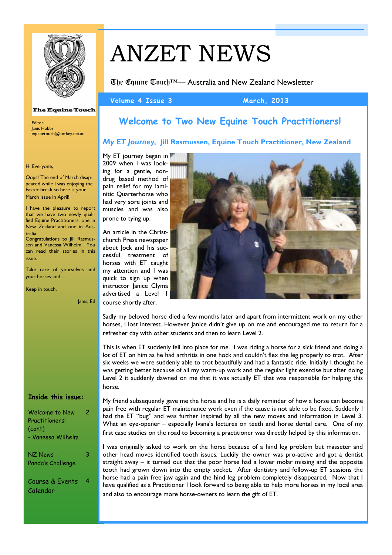

**The Equine Touch** 

# ANZET NEWS

The Equine Touch™— Australia and New Zealand Newsletter

Volume 4 Issue 3 March, 2013

### **Welcome to Two New Equine Touch Practitioners!**

#### *My ET Journey,* **Jill Rasmussen, Equine Touch Practitioner, New Zealand**

My ET journey began in 2009 when I was looking for a gentle, nondrug based method of pain relief for my laminitic Quarterhorse who had very sore joints and muscles and was also prone to tying up.

An article in the Christchurch Press newspaper about Jock and his successful treatment of horses with ET caught my attention and I was quick to sign up when instructor Janice Clyma advertised a Level 1 course shortly after.



Sadly my beloved horse died a few months later and apart from intermittent work on my other horses, I lost interest. However Janice didn't give up on me and encouraged me to return for a refresher day with other students and then to learn Level 2.

This is when ET suddenly fell into place for me. I was riding a horse for a sick friend and doing a lot of ET on him as he had arthritis in one hock and couldn't flex the leg properly to trot. After six weeks we were suddenly able to trot beautifully and had a fantastic ride. Initially I thought he was getting better because of all my warm-up work and the regular light exercise but after doing Level 2 it suddenly dawned on me that it was actually ET that was responsible for helping this horse.

My friend subsequently gave me the horse and he is a daily reminder of how a horse can become pain free with regular ET maintenance work even if the cause is not able to be fixed. Suddenly I had the ET "bug" and was further inspired by all the new moves and information in Level 3. What an eye-opener – especially Ivana's lectures on teeth and horse dental care. One of my first case studies on the road to becoming a practitioner was directly helped by this information.

I was originally asked to work on the horse because of a hind leg problem but masseter and other head moves identified tooth issues. Luckily the owner was pro-active and got a dentist straight away – it turned out that the poor horse had a lower molar missing and the opposite tooth had grown down into the empty socket. After dentistry and follow-up ET sessions the horse had a pain free jaw again and the hind leg problem completely disappeared. Now that I have qualified as a Practitioner I look forward to being able to help more horses in my local area and also to encourage more horse-owners to learn the gift of ET.

Hi Everyone,

Editor: Janis Hobbs

Oops! The end of March disappeared while I was enjoying the Easter break so here is your March issue in April!

equinetouch@hotkey.net.au

I have the pleasure to report that we have two newly qualified Equine Practitioners, one in New Zealand and one in Australia.

Congratulations to Jill Rasmussen and Vanessa Wilhelm. You can read their stories in this issue.

Take care of yourselves and your horses and …

Keep in touch.

Janis, Ed

#### **Inside this issue:**

| Welcome to New<br><b>Practitioners!</b><br>(cont)<br>- Vanessa Wilhelm | 2 |
|------------------------------------------------------------------------|---|
| NZ News -<br>Panda's Challenge                                         | З |
| Course & Events<br>Calendar                                            | 4 |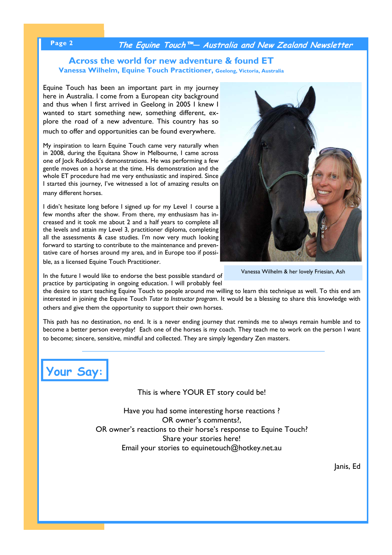### **Page 2 The Equine Touch™— Australia and New Zealand Newsletter**

#### **Across the world for new adventure & found ET Vanessa Wilhelm, Equine Touch Practitioner, Geelong, Victoria, Australia**

Equine Touch has been an important part in my journey here in Australia. I come from a European city background and thus when I first arrived in Geelong in 2005 I knew I wanted to start something new, something different, explore the road of a new adventure. This country has so much to offer and opportunities can be found everywhere.

My inspiration to learn Equine Touch came very naturally when in 2008, during the Equitana Show in Melbourne, I came across one of Jock Ruddock's demonstrations. He was performing a few gentle moves on a horse at the time. His demonstration and the whole ET procedure had me very enthusiastic and inspired. Since I started this journey, I've witnessed a lot of amazing results on many different horses.

I didn't hesitate long before I signed up for my Level I course a few months after the show. From there, my enthusiasm has increased and it took me about 2 and a half years to complete all the levels and attain my Level 3, practitioner diploma, completing all the assessments & case studies. I'm now very much looking forward to starting to contribute to the maintenance and preventative care of horses around my area, and in Europe too if possible, as a licensed Equine Touch Practitioner.



Vanessa Wilhelm & her lovely Friesian, Ash

In the future I would like to endorse the best possible standard of practice by participating in ongoing education. I will probably feel

the desire to start teaching Equine Touch to people around me willing to learn this technique as well. To this end am interested in joining the Equine Touch *Tutor to Instructor program*. It would be a blessing to share this knowledge with others and give them the opportunity to support their own horses.

This path has no destination, no end. It is a never ending journey that reminds me to always remain humble and to become a better person everyday! Each one of the horses is my coach. They teach me to work on the person I want to become; sincere, sensitive, mindful and collected. They are simply legendary Zen masters.

## **Your Say:**

This is where YOUR ET story could be!

Have you had some interesting horse reactions ? OR owner's comments?, OR owner's reactions to their horse's response to Equine Touch? Share your stories here! Email your stories to equinetouch@hotkey.net.au

Janis, Ed